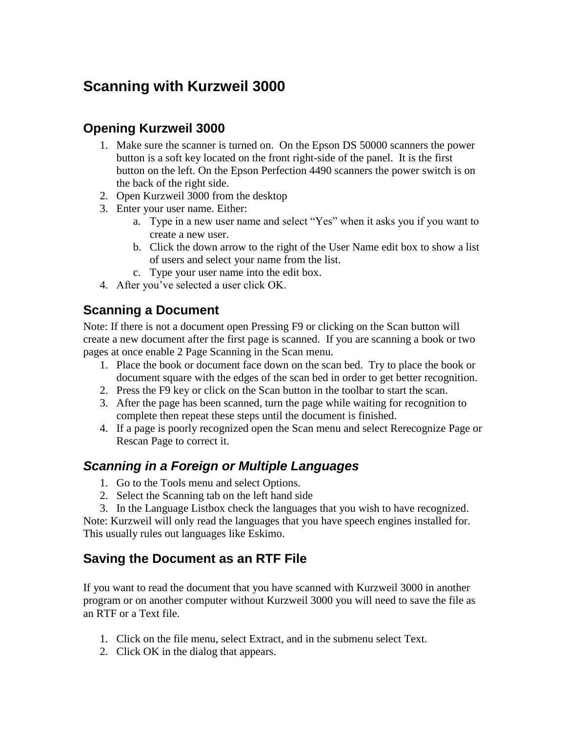# **Scanning with Kurzweil 3000**

# **Opening Kurzweil 3000**

- 1. Make sure the scanner is turned on. On the Epson DS 50000 scanners the power button is a soft key located on the front right-side of the panel. It is the first button on the left. On the Epson Perfection 4490 scanners the power switch is on the back of the right side.
- 2. Open Kurzweil 3000 from the desktop
- 3. Enter your user name. Either:
	- a. Type in a new user name and select "Yes" when it asks you if you want to create a new user.
	- b. Click the down arrow to the right of the User Name edit box to show a list of users and select your name from the list.
	- c. Type your user name into the edit box.
- 4. After you've selected a user click OK.

### **Scanning a Document**

Note: If there is not a document open Pressing F9 or clicking on the Scan button will create a new document after the first page is scanned. If you are scanning a book or two pages at once enable 2 Page Scanning in the Scan menu.

- 1. Place the book or document face down on the scan bed. Try to place the book or document square with the edges of the scan bed in order to get better recognition.
- 2. Press the F9 key or click on the Scan button in the toolbar to start the scan.
- 3. After the page has been scanned, turn the page while waiting for recognition to complete then repeat these steps until the document is finished.
- 4. If a page is poorly recognized open the Scan menu and select Rerecognize Page or Rescan Page to correct it.

# *Scanning in a Foreign or Multiple Languages*

- 1. Go to the Tools menu and select Options.
- 2. Select the Scanning tab on the left hand side
- 3. In the Language Listbox check the languages that you wish to have recognized.

Note: Kurzweil will only read the languages that you have speech engines installed for. This usually rules out languages like Eskimo.

# **Saving the Document as an RTF File**

If you want to read the document that you have scanned with Kurzweil 3000 in another program or on another computer without Kurzweil 3000 you will need to save the file as an RTF or a Text file.

- 1. Click on the file menu, select Extract, and in the submenu select Text.
- 2. Click OK in the dialog that appears.